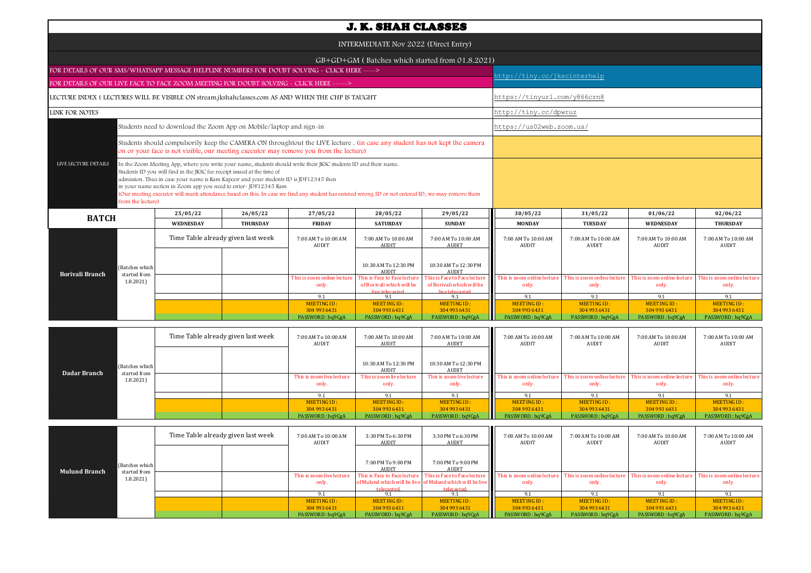|                                                                                                   |                                                                         |                                                                                                                                                                                                                                                                                                                                                                                                                                  |                                                                                                                                                                                                                     | <b>J. K. SHAH CLASSES</b>                                                    |                                                                              |                                     |                                     |                                     |                                      |  |  |
|---------------------------------------------------------------------------------------------------|-------------------------------------------------------------------------|----------------------------------------------------------------------------------------------------------------------------------------------------------------------------------------------------------------------------------------------------------------------------------------------------------------------------------------------------------------------------------------------------------------------------------|---------------------------------------------------------------------------------------------------------------------------------------------------------------------------------------------------------------------|------------------------------------------------------------------------------|------------------------------------------------------------------------------|-------------------------------------|-------------------------------------|-------------------------------------|--------------------------------------|--|--|
|                                                                                                   |                                                                         |                                                                                                                                                                                                                                                                                                                                                                                                                                  |                                                                                                                                                                                                                     | INTERMEDIATE Nov 2022 (Direct Entry)                                         |                                                                              |                                     |                                     |                                     |                                      |  |  |
|                                                                                                   |                                                                         |                                                                                                                                                                                                                                                                                                                                                                                                                                  |                                                                                                                                                                                                                     |                                                                              | GB+GD+GM (Batches which started from 01.8.2021)                              |                                     |                                     |                                     |                                      |  |  |
| FOR DETAILS OF OUR SMS/WHATSAPP MESSAGE HELPLINE NUMBERS FOR DOUBT SOLVING - CLICK HERE ---->     |                                                                         |                                                                                                                                                                                                                                                                                                                                                                                                                                  |                                                                                                                                                                                                                     |                                                                              |                                                                              |                                     | http://tiny.cc/jkscinterhelp        |                                     |                                      |  |  |
| FOR DETAILS OF OUR LIVE FACE TO FACE ZOOM MEETING FOR DOUBT SOLVING - CLICK HERE ----->           |                                                                         |                                                                                                                                                                                                                                                                                                                                                                                                                                  |                                                                                                                                                                                                                     |                                                                              |                                                                              |                                     |                                     |                                     |                                      |  |  |
| LECTURE INDEX (LECTURES WILL BE VISIBLE ON stream.jkshahclasses.com AS AND WHEN THE CHP IS TAUGHT |                                                                         |                                                                                                                                                                                                                                                                                                                                                                                                                                  |                                                                                                                                                                                                                     |                                                                              |                                                                              |                                     | https://tinyurl.com/y866crn8        |                                     |                                      |  |  |
| LINK FOR NOTES                                                                                    |                                                                         |                                                                                                                                                                                                                                                                                                                                                                                                                                  |                                                                                                                                                                                                                     |                                                                              |                                                                              | http://tiny.cc/dpwruz               |                                     |                                     |                                      |  |  |
|                                                                                                   |                                                                         | Students need to download the Zoom App on Mobile/laptop and sign-in                                                                                                                                                                                                                                                                                                                                                              |                                                                                                                                                                                                                     |                                                                              |                                                                              | https://us02web.zoom.us/            |                                     |                                     |                                      |  |  |
|                                                                                                   |                                                                         |                                                                                                                                                                                                                                                                                                                                                                                                                                  | Students should compulsorily keep the CAMERA ON throughtout the LIVE lecture. (in case any student has not kept the camera<br>on or your face is not visible, our meeting executor may remove you from the lecture) |                                                                              |                                                                              |                                     |                                     |                                     |                                      |  |  |
| LIVE LECTURE DETAILS<br>from the lecture)                                                         | Students ID you will find in the JKSC fee receipt issued at the time of | In the Zoom Meeting App, where you write your name, students should write their JKSC students ID and their name.<br>admission. Thus in case your name is Ram Kapoor and your students ID is JDF12345 then<br>in your name section in Zoom app you need to enter-JDF12345 Ram<br>(Our meeting executor will mark attendance based on this. In case we find any student has entered wrong ID or not entered ID, we may remove them |                                                                                                                                                                                                                     |                                                                              |                                                                              |                                     |                                     |                                     |                                      |  |  |
| <b>BATCH</b>                                                                                      | 25/05/22                                                                | 26/05/22                                                                                                                                                                                                                                                                                                                                                                                                                         | 27/05/22                                                                                                                                                                                                            | 28/05/22                                                                     | 29/05/22                                                                     | 30/05/22                            | 31/05/22                            | 01/06/22                            | 02/06/22                             |  |  |
|                                                                                                   | WEDNESDAY                                                               | <b>THURSDAY</b>                                                                                                                                                                                                                                                                                                                                                                                                                  | <b>FRIDAY</b>                                                                                                                                                                                                       | <b>SATURDAY</b>                                                              | <b>SUNDAY</b>                                                                | <b>MONDAY</b>                       | <b>TUESDAY</b>                      | <b>WEDNESDAY</b>                    | <b>THURSDAY</b>                      |  |  |
|                                                                                                   |                                                                         | Time Table already given last week                                                                                                                                                                                                                                                                                                                                                                                               | 7:00 AM To 10:00 AM<br>AUDIT                                                                                                                                                                                        | 7:00 AM To 10:00 AM<br>AUDIT                                                 | 7:00 AM To 10:00 AM<br><b>AUDIT</b>                                          | 7:00 AM To 10:00 AM<br>AUDIT        | 7:00 AM To 10:00 AM<br>AUDIT        | 7:00 AM To 10:00 AM<br>AUDIT        | 7:00 AM To 10:00 AM<br><b>AUDIT</b>  |  |  |
| (Batches which<br><b>Borivali Branch</b><br>started from                                          |                                                                         |                                                                                                                                                                                                                                                                                                                                                                                                                                  |                                                                                                                                                                                                                     | 10:30 AM To 12:30 PM<br><b>AUDIT</b>                                         | 10:30 AM To 12:30 PM<br><b>AUDIT</b>                                         |                                     |                                     |                                     |                                      |  |  |
| 1.8.2021                                                                                          |                                                                         |                                                                                                                                                                                                                                                                                                                                                                                                                                  | This is zoom online lecture<br>only.                                                                                                                                                                                | This is Face to Face lecture<br>of Borivali which will be<br>live telecasted | This is Face to Face lecture<br>of Borivali which will be<br>live telecasted | This is zoom online lectur<br>only. | This is zoom online lectur<br>only. | This is zoom online lectur<br>only. | This is zoom online lecture<br>only. |  |  |
|                                                                                                   |                                                                         |                                                                                                                                                                                                                                                                                                                                                                                                                                  | 9.1                                                                                                                                                                                                                 | 9.1                                                                          | 9.1                                                                          | 9.1                                 | 9.1                                 | 9.1                                 | 9.1                                  |  |  |
|                                                                                                   |                                                                         |                                                                                                                                                                                                                                                                                                                                                                                                                                  | <b>MEETING ID:</b>                                                                                                                                                                                                  | MEETING ID:                                                                  | <b>MEETING ID:</b>                                                           | <b>MEETING ID:</b>                  | <b>MEETING ID:</b>                  | <b>MEETING ID:</b>                  | <b>MEETING ID:</b>                   |  |  |
|                                                                                                   |                                                                         |                                                                                                                                                                                                                                                                                                                                                                                                                                  | 304 993 6431<br>PASSWORD: bq9CgA                                                                                                                                                                                    | 304 993 6431<br>PASSWORD: ba9CgA                                             | 304 993 6431<br>PASSWORD: bq9CgA                                             | 304 993 6431<br>PASSWORD: bq9CgA    | 304 993 6431<br>PASSWORD: bq9CgA    | 304 993 6431<br>PASSWORD: bq9CgA    | 304 993 6431<br>PASSWORD: ba9CgA     |  |  |
|                                                                                                   |                                                                         |                                                                                                                                                                                                                                                                                                                                                                                                                                  |                                                                                                                                                                                                                     |                                                                              |                                                                              |                                     |                                     |                                     |                                      |  |  |

| <b>Dadar Branch</b> |                                            | Time Table already given last week |  | 7:00 AM To 10:00 AM<br>AUDIT       | 7:00 AM To 10:00 AM<br>AUDIT       | 7:00 AM To 10:00 AM<br>AUDIT       | 7:00 AM To 10:00 AM<br>AUDIT                                                                                             | 7:00 AM To 10:00 AM<br>AUDIT | 7:00 AM To 10:00 AM<br>AUDIT | 7:00 AM To 10:00 AM<br>AUDIT |
|---------------------|--------------------------------------------|------------------------------------|--|------------------------------------|------------------------------------|------------------------------------|--------------------------------------------------------------------------------------------------------------------------|------------------------------|------------------------------|------------------------------|
|                     | (Batches which<br>started from<br>1.8.2021 |                                    |  |                                    | 10:30 AM To 12:30 PM<br>AUDIT      | 10:30 AM To 12:30 PM<br>AUDIT      |                                                                                                                          |                              |                              |                              |
|                     |                                            |                                    |  | This is zoom live lecture<br>only. | This is zoom live lecture<br>only. | This is zoom live lecture<br>only. | This is zoom online lecture This is zoom online lecture This is zoom online lecture This is zoom online lecture<br>only. | only.                        | only.                        | only.                        |
|                     |                                            |                                    |  |                                    |                                    |                                    |                                                                                                                          |                              |                              |                              |
|                     |                                            |                                    |  | MEETING ID:                        | MEETING ID:                        | MEETING ID:                        | MEETING ID:                                                                                                              | MEETING ID:                  | MEETING ID:                  | MEETING ID:                  |
|                     |                                            |                                    |  | 304 993 6431                       | 304 993 6431                       | 304 993 6431                       | 304 993 6431                                                                                                             | 304 993 6431                 | 304 993 6431                 | 304 993 6431                 |
|                     |                                            |                                    |  | PASSWORD: bq9CgA                   | PASSWORD: bq9CgA                   | PASSWORD: bq9CgA                   | PASSWORD: bq9CgA                                                                                                         | PASSWORD: bq9CgA             | PASSWORD: bq9CgA             | PASSWORD: bq9CgA             |

|                      |                          | Time Table already given last week |  | 7:00 AM To 10:00 AM<br><b>AUDIT</b> | 3:30 PM To 6:30 PM<br>AUDIT                | 3:30 PM To 6:30 PM<br>AUDIT                                                                             | Ш<br>7:00 AM To 10:00 AM<br><b>AUDIT</b>                         | 7:00 AM To 10:00 AM<br><b>AUDIT</b> | 7:00 AM To 10:00 AM<br>AUDIT         | 7:00 AM To 10:00 AM<br>AUDIT         |
|----------------------|--------------------------|------------------------------------|--|-------------------------------------|--------------------------------------------|---------------------------------------------------------------------------------------------------------|------------------------------------------------------------------|-------------------------------------|--------------------------------------|--------------------------------------|
| <b>Mulund Branch</b> | (Batches which           |                                    |  |                                     | 7:00 PM To 9:00 PM<br><b>AUDIT</b>         | 7:00 PM To 9:00 PM<br>AUDIT                                                                             |                                                                  |                                     |                                      |                                      |
|                      | started from<br>1.8.2021 |                                    |  | This is zoom live lecture<br>only.  | This is Face to Face lecture<br>telecasted | This is Face to Face lecture<br>of Mulund which will be live of Mulund which will be live<br>telecasted | This is zoom online lecture This is zoom online lecture<br>only. | only.                               | This is zoom online lecture<br>only. | This is zoom online lecture<br>only. |
|                      |                          |                                    |  | $Q_1$                               |                                            |                                                                                                         | 9.1                                                              |                                     |                                      |                                      |
|                      |                          |                                    |  | MEETING ID:                         | MEETING ID:                                | MEETING ID:                                                                                             | <b>MEETING ID:</b>                                               | <b>MEETING ID:</b>                  | <b>MEETING ID:</b>                   | MEETING ID:                          |
|                      |                          |                                    |  | 304 993 6431                        | 304 993 6431                               | 304 993 6431                                                                                            | 304 993 6431                                                     | 304 993 6431                        | 304 993 6431                         | 304 993 6431                         |
|                      |                          |                                    |  | PASSWORD: bq9CgA                    | PASSWORD: bq9CgA                           | PASSWORD: bq9CgA                                                                                        | PASSWORD: bq9CgA                                                 | PASSWORD: bq9CgA                    | PASSWORD: bq9CgA                     | PASSWORD: bq9CgA                     |